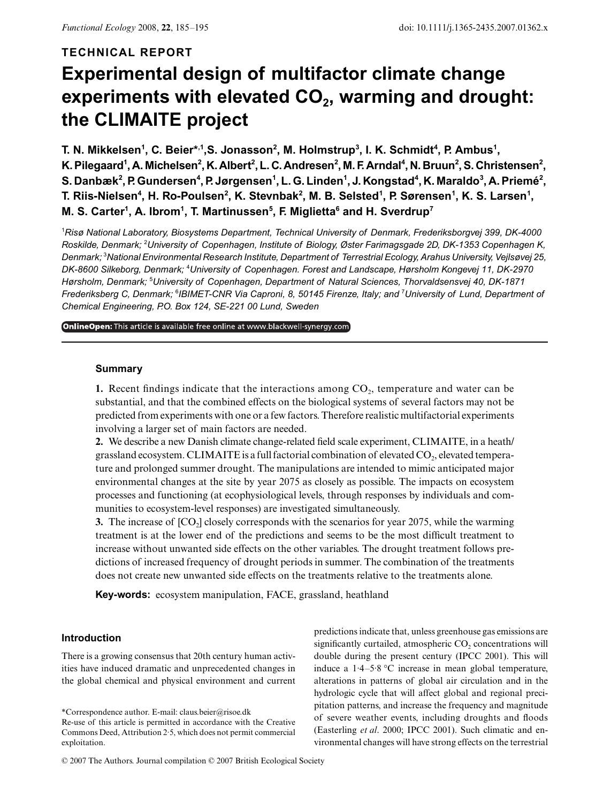## **TECHNICAL REPORT**

# **Experimental design of multifactor climate change**  experiments with elevated CO<sub>2</sub>, warming and drought: **the CLIMAITE project**

T. N. Mikkelsen<sup>1</sup>, C. Beier\*<sup>,1</sup>,S. Jonasson<sup>2</sup>, M. Holmstrup<sup>3</sup>, I. K. Schmidt<sup>4</sup>, P. Ambus<sup>1</sup>, **K**. Pilegaard<sup>1</sup>, A. Michelsen<sup>2</sup>, K. Albert<sup>2</sup>, L. C. Andresen<sup>2</sup>, M. F. Arndal<sup>4</sup>, N. Bruun<sup>2</sup>, S. Christensen<sup>2</sup>,  $\mathbf{S}$ . Danbæk $^2$ , P. Gundersen $^4$ , P. Jørgensen $^1$ , L. G. Linden $^1$ , J. Kongstad $^4$ , K. Maraldo $^3$ , A. Priemé $^2$ , T. Riis-Nielsen<sup>4</sup>, H. Ro-Poulsen<sup>2</sup>, K. Stevnbak<sup>2</sup>, M. B. Selsted<sup>1</sup>, P. Sørensen<sup>1</sup>, K. S. Larsen<sup>1</sup>, **M. S. Carter1 , A. Ibrom1 , T. Martinussen5 , F. Miglietta6 and H. Sverdrup7**

1 *Risø National Laboratory, Biosystems Department, Technical University of Denmark, Frederiksborgvej 399, DK-4000 Roskilde, Denmark;* <sup>2</sup> *University of Copenhagen, Institute of Biology, Øster Farimagsgade 2D, DK-1353 Copenhagen K, Denmark;* <sup>3</sup> *National Environmental Research Institute, Department of Terrestrial Ecology, Arahus University, Vejlsøvej 25, DK-8600 Silkeborg, Denmark;* <sup>4</sup> *University of Copenhagen. Forest and Landscape, Hørsholm Kongevej 11, DK-2970 Hørsholm, Denmark;* <sup>5</sup> *University of Copenhagen, Department of Natural Sciences, Thorvaldsensvej 40, DK-1871 Frederiksberg C, Denmark;* <sup>6</sup> *IBIMET-CNR Via Caproni, 8, 50145 Firenze, Italy; and* <sup>7</sup> *University of Lund, Department of Chemical Engineering, P.O. Box 124, SE-221 00 Lund, Sweden*

OnlineOpen: This article is available free online at www.blackwell-synergy.com

## **Summary**

**1.** Recent findings indicate that the interactions among CO<sub>2</sub>, temperature and water can be substantial, and that the combined effects on the biological systems of several factors may not be predicted from experiments with one or a few factors. Therefore realistic multifactorial experiments involving a larger set of main factors are needed.

**2.** We describe a new Danish climate change-related field scale experiment, CLIMAITE, in a heath/ grassland ecosystem. CLIMAITE is a full factorial combination of elevated CO<sub>2</sub>, elevated temperature and prolonged summer drought. The manipulations are intended to mimic anticipated major environmental changes at the site by year 2075 as closely as possible. The impacts on ecosystem processes and functioning (at ecophysiological levels, through responses by individuals and communities to ecosystem-level responses) are investigated simultaneously.

**3.** The increase of  $[CO_2]$  closely corresponds with the scenarios for year 2075, while the warming treatment is at the lower end of the predictions and seems to be the most difficult treatment to increase without unwanted side effects on the other variables. The drought treatment follows predictions of increased frequency of drought periods in summer. The combination of the treatments does not create new unwanted side effects on the treatments relative to the treatments alone.

**Key-words:** ecosystem manipulation, FACE, grassland, heathland

## **Introduction**

There is a growing consensus that 20th century human activities have induced dramatic and unprecedented changes in the global chemical and physical environment and current

\*Correspondence author. E-mail: claus.beier@risoe.dk Re-use of this article is permitted in accordance with the Creative Commons Deed, Attribution 2·5, which does not permit commercial exploitation.

predictions indicate that, unless greenhouse gas emissions are significantly curtailed, atmospheric CO<sub>2</sub> concentrations will double during the present century (IPCC 2001). This will induce a 1·4–5·8 °C increase in mean global temperature, alterations in patterns of global air circulation and in the hydrologic cycle that will affect global and regional precipitation patterns, and increase the frequency and magnitude of severe weather events, including droughts and floods (Easterling *et al*. 2000; IPCC 2001). Such climatic and environmental changes will have strong effects on the terrestrial

<sup>© 2007</sup> The Authors. Journal compilation © 2007 British Ecological Society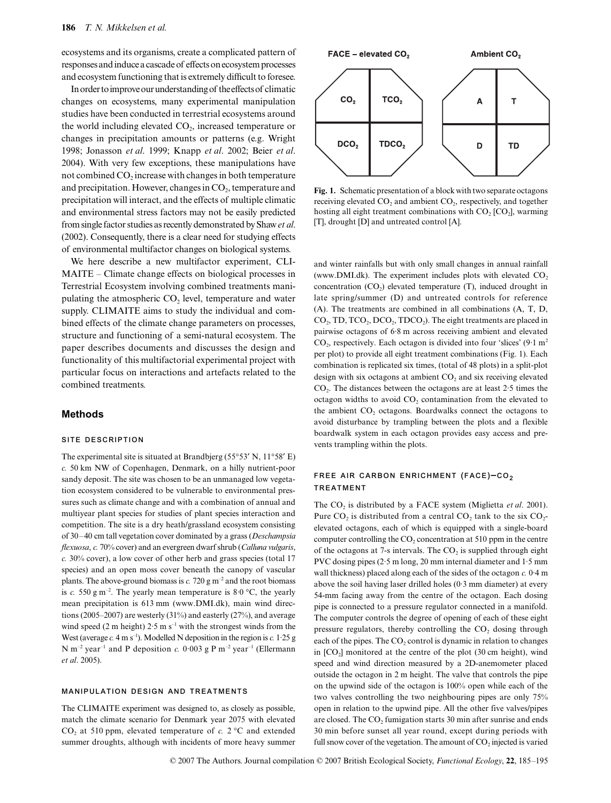ecosystems and its organisms, create a complicated pattern of responses and induce a cascade of effects on ecosystem processes and ecosystem functioning that is extremely difficult to foresee.

In order to improve our understanding of the effects of climatic changes on ecosystems, many experimental manipulation studies have been conducted in terrestrial ecosystems around the world including elevated  $CO<sub>2</sub>$ , increased temperature or changes in precipitation amounts or patterns (e.g. Wright 1998; Jonasson *et al*. 1999; Knapp *et al*. 2002; Beier *et al*. 2004). With very few exceptions, these manipulations have not combined  $CO<sub>2</sub>$  increase with changes in both temperature and precipitation. However, changes in  $CO<sub>2</sub>$ , temperature and precipitation will interact, and the effects of multiple climatic and environmental stress factors may not be easily predicted from single factor studies as recently demonstrated by Shaw *et al*. (2002). Consequently, there is a clear need for studying effects of environmental multifactor changes on biological systems.

We here describe a new multifactor experiment, CLI-MAITE – Climate change effects on biological processes in Terrestrial Ecosystem involving combined treatments manipulating the atmospheric  $CO<sub>2</sub>$  level, temperature and water supply. CLIMAITE aims to study the individual and combined effects of the climate change parameters on processes, structure and functioning of a semi-natural ecosystem. The paper describes documents and discusses the design and functionality of this multifactorial experimental project with particular focus on interactions and artefacts related to the combined treatments.

#### **Methods**

## **SITE DESCRIPTION**

The experimental site is situated at Brandbjerg (55°53′ N, 11°58′ E) *c.* 50 km NW of Copenhagen, Denmark, on a hilly nutrient-poor sandy deposit. The site was chosen to be an unmanaged low vegetation ecosystem considered to be vulnerable to environmental pressures such as climate change and with a combination of annual and multiyear plant species for studies of plant species interaction and competition. The site is a dry heath/grassland ecosystem consisting of 30–40 cm tall vegetation cover dominated by a grass (*Deschampsia flexuosa*, *c.* 70% cover) and an evergreen dwarf shrub (*Calluna vulgaris*, *c.* 30% cover), a low cover of other herb and grass species (total 17 species) and an open moss cover beneath the canopy of vascular plants. The above-ground biomass is  $c$ . 720 g m<sup>-2</sup> and the root biomass is *c.* 550 g m<sup>-2</sup>. The yearly mean temperature is  $8.0 \degree C$ , the yearly mean precipitation is 613 mm [\(www.DMI.dk\)](www.DMI.dk), main wind directions (2005–2007) are westerly (31%) and easterly (27%), and average wind speed (2 m height)  $2.5 \text{ m s}^{-1}$  with the strongest winds from the West (average  $c$ , 4 m s<sup>-1</sup>). Modelled N deposition in the region is  $c$ , 1.25 g N m<sup>-2</sup> year<sup>-1</sup> and P deposition *c.* 0.003 g P m<sup>-2</sup> year<sup>-1</sup> (Ellermann *et al*. 2005).

#### **MANIPULATION DESIGN AND TREATMENTS**

The CLIMAITE experiment was designed to, as closely as possible, match the climate scenario for Denmark year 2075 with elevated  $CO<sub>2</sub>$  at 510 ppm, elevated temperature of *c*. 2 °C and extended summer droughts, although with incidents of more heavy summer



**Fig. 1.** Schematic presentation of a block with two separate octagons receiving elevated CO<sub>2</sub> and ambient CO<sub>2</sub>, respectively, and together hosting all eight treatment combinations with  $CO<sub>2</sub>$  [CO<sub>2</sub>], warming [T], drought [D] and untreated control [A].

and winter rainfalls but with only small changes in annual rainfall [\(www.DMI.dk\)](www.DMI.dk). The experiment includes plots with elevated  $CO<sub>2</sub>$ concentration  $(CO<sub>2</sub>)$  elevated temperature  $(T)$ , induced drought in late spring/summer (D) and untreated controls for reference (A). The treatments are combined in all combinations (A, T, D, CO<sub>2</sub>, TD, TCO<sub>2</sub>, DCO<sub>2</sub>, TDCO<sub>2</sub>). The eight treatments are placed in pairwise octagons of 6·8 m across receiving ambient and elevated  $CO<sub>2</sub>$ , respectively. Each octagon is divided into four 'slices' (9·1 m<sup>2</sup>) per plot) to provide all eight treatment combinations (Fig. 1). Each combination is replicated six times, (total of 48 plots) in a split-plot design with six octagons at ambient  $CO<sub>2</sub>$  and six receiving elevated CO2. The distances between the octagons are at least 2·5 times the octagon widths to avoid  $CO<sub>2</sub>$  contamination from the elevated to the ambient  $CO<sub>2</sub>$  octagons. Boardwalks connect the octagons to avoid disturbance by trampling between the plots and a flexible boardwalk system in each octagon provides easy access and prevents trampling within the plots.

## **FREE AIR CARBON ENRICHMENT (FACE)–CO2 TREATMENT**

The CO<sub>2</sub> is distributed by a FACE system (Miglietta et al. 2001). Pure  $CO_2$  is distributed from a central  $CO_2$  tank to the six  $CO_2$ elevated octagons, each of which is equipped with a single-board computer controlling the  $CO<sub>2</sub>$  concentration at 510 ppm in the centre of the octagons at 7-s intervals. The  $CO<sub>2</sub>$  is supplied through eight PVC dosing pipes (2·5 m long, 20 mm internal diameter and 1·5 mm wall thickness) placed along each of the sides of the octagon *c.* 0·4 m above the soil having laser drilled holes (0·3 mm diameter) at every 54-mm facing away from the centre of the octagon. Each dosing pipe is connected to a pressure regulator connected in a manifold. The computer controls the degree of opening of each of these eight pressure regulators, thereby controlling the CO<sub>2</sub> dosing through each of the pipes. The  $CO<sub>2</sub>$  control is dynamic in relation to changes in  $[CO<sub>2</sub>]$  monitored at the centre of the plot  $(30 \text{ cm} \text{ height})$ , wind speed and wind direction measured by a 2D-anemometer placed outside the octagon in 2 m height. The valve that controls the pipe on the upwind side of the octagon is 100% open while each of the two valves controlling the two neighbouring pipes are only 75% open in relation to the upwind pipe. All the other five valves/pipes are closed. The CO<sub>2</sub> fumigation starts 30 min after sunrise and ends 30 min before sunset all year round, except during periods with full snow cover of the vegetation. The amount of  $CO<sub>2</sub>$  injected is varied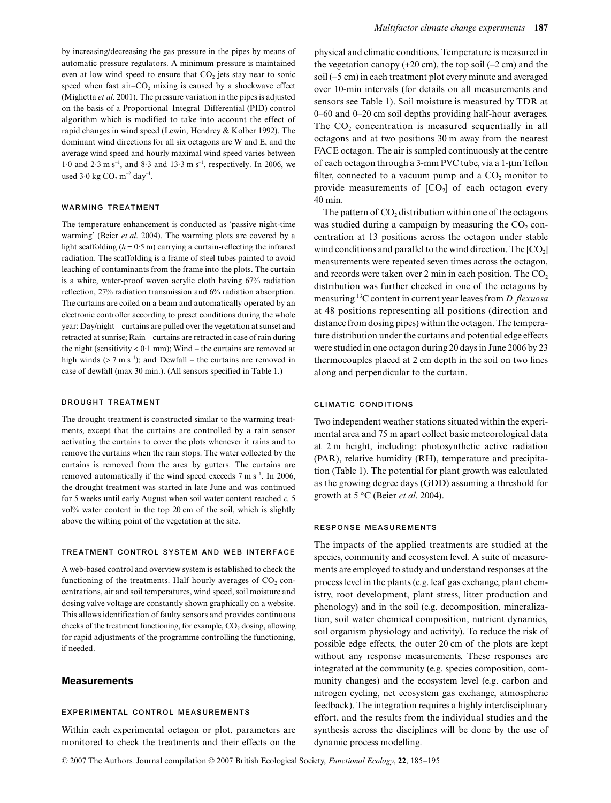by increasing/decreasing the gas pressure in the pipes by means of automatic pressure regulators. A minimum pressure is maintained even at low wind speed to ensure that  $CO<sub>2</sub>$  jets stay near to sonic speed when fast air– $CO<sub>2</sub>$  mixing is caused by a shockwave effect (Miglietta *et al*. 2001). The pressure variation in the pipes is adjusted on the basis of a Proportional–Integral–Differential (PID) control algorithm which is modified to take into account the effect of rapid changes in wind speed (Lewin, Hendrey & Kolber 1992). The dominant wind directions for all six octagons are W and E, and the average wind speed and hourly maximal wind speed varies between 1·0 and 2·3 m s<sup>-1</sup>, and 8·3 and 13·3 m s<sup>-1</sup>, respectively. In 2006, we used  $3.0$  kg CO<sub>2</sub> m<sup>-2</sup> day<sup>-1</sup>.

## **WARMING TREATMENT**

The temperature enhancement is conducted as 'passive night-time warming' (Beier *et al*. 2004). The warming plots are covered by a light scaffolding  $(h = 0.5 \text{ m})$  carrying a curtain-reflecting the infrared radiation. The scaffolding is a frame of steel tubes painted to avoid leaching of contaminants from the frame into the plots. The curtain is a white, water-proof woven acrylic cloth having 67% radiation reflection, 27% radiation transmission and 6% radiation absorption. The curtains are coiled on a beam and automatically operated by an electronic controller according to preset conditions during the whole year: Day/night – curtains are pulled over the vegetation at sunset and retracted at sunrise; Rain – curtains are retracted in case of rain during the night (sensitivity  $< 0.1$  mm); Wind – the curtains are removed at high winds ( $> 7 \text{ m s}^{-1}$ ); and Dewfall – the curtains are removed in case of dewfall (max 30 min.). (All sensors specified in Table 1.)

#### **DROUGHT TREATMENT**

The drought treatment is constructed similar to the warming treatments, except that the curtains are controlled by a rain sensor activating the curtains to cover the plots whenever it rains and to remove the curtains when the rain stops. The water collected by the curtains is removed from the area by gutters. The curtains are removed automatically if the wind speed exceeds  $7 \text{ m s}^{-1}$ . In 2006, the drought treatment was started in late June and was continued for 5 weeks until early August when soil water content reached *c.* 5 vol% water content in the top 20 cm of the soil, which is slightly above the wilting point of the vegetation at the site.

## **TREATMENT CONTROL SYSTEM AND WEB INTERFACE**

A web-based control and overview system is established to check the functioning of the treatments. Half hourly averages of  $CO<sub>2</sub>$  concentrations, air and soil temperatures, wind speed, soil moisture and dosing valve voltage are constantly shown graphically on a website. This allows identification of faulty sensors and provides continuous checks of the treatment functioning, for example,  $CO<sub>2</sub>$  dosing, allowing for rapid adjustments of the programme controlling the functioning, if needed.

## **Measurements**

#### **EXPERIMENTAL CONTROL MEASUREMENTS**

Within each experimental octagon or plot, parameters are monitored to check the treatments and their effects on the

physical and climatic conditions. Temperature is measured in the vegetation canopy  $(+20 \text{ cm})$ , the top soil  $(-2 \text{ cm})$  and the soil (–5 cm) in each treatment plot every minute and averaged over 10-min intervals (for details on all measurements and sensors see Table 1). Soil moisture is measured by TDR at 0–60 and 0–20 cm soil depths providing half-hour averages. The  $CO<sub>2</sub>$  concentration is measured sequentially in all octagons and at two positions 30 m away from the nearest FACE octagon. The air is sampled continuously at the centre of each octagon through a 3-mm PVC tube, via a 1-µm Teflon filter, connected to a vacuum pump and a  $CO<sub>2</sub>$  monitor to provide measurements of  $[CO<sub>2</sub>]$  of each octagon every 40 min.

The pattern of  $CO<sub>2</sub>$  distribution within one of the octagons was studied during a campaign by measuring the  $CO<sub>2</sub>$  concentration at 13 positions across the octagon under stable wind conditions and parallel to the wind direction. The  $[CO<sub>2</sub>]$ measurements were repeated seven times across the octagon, and records were taken over 2 min in each position. The  $CO<sub>2</sub>$ distribution was further checked in one of the octagons by measuring 13C content in current year leaves from *D. flexuosa* at 48 positions representing all positions (direction and distance from dosing pipes) within the octagon. The temperature distribution under the curtains and potential edge effects were studied in one octagon during 20 days in June 2006 by 23 thermocouples placed at 2 cm depth in the soil on two lines along and perpendicular to the curtain.

## **CLIMATIC CONDITIONS**

Two independent weather stations situated within the experimental area and 75 m apart collect basic meteorological data at 2 m height, including: photosynthetic active radiation (PAR), relative humidity (RH), temperature and precipitation (Table 1). The potential for plant growth was calculated as the growing degree days (GDD) assuming a threshold for growth at 5 °C (Beier *et al*. 2004).

#### **RESPONSE MEASUREMENTS**

The impacts of the applied treatments are studied at the species, community and ecosystem level. A suite of measurements are employed to study and understand responses at the process level in the plants (e.g. leaf gas exchange, plant chemistry, root development, plant stress, litter production and phenology) and in the soil (e.g. decomposition, mineralization, soil water chemical composition, nutrient dynamics, soil organism physiology and activity). To reduce the risk of possible edge effects, the outer 20 cm of the plots are kept without any response measurements. These responses are integrated at the community (e.g. species composition, community changes) and the ecosystem level (e.g. carbon and nitrogen cycling, net ecosystem gas exchange, atmospheric feedback). The integration requires a highly interdisciplinary effort, and the results from the individual studies and the synthesis across the disciplines will be done by the use of dynamic process modelling.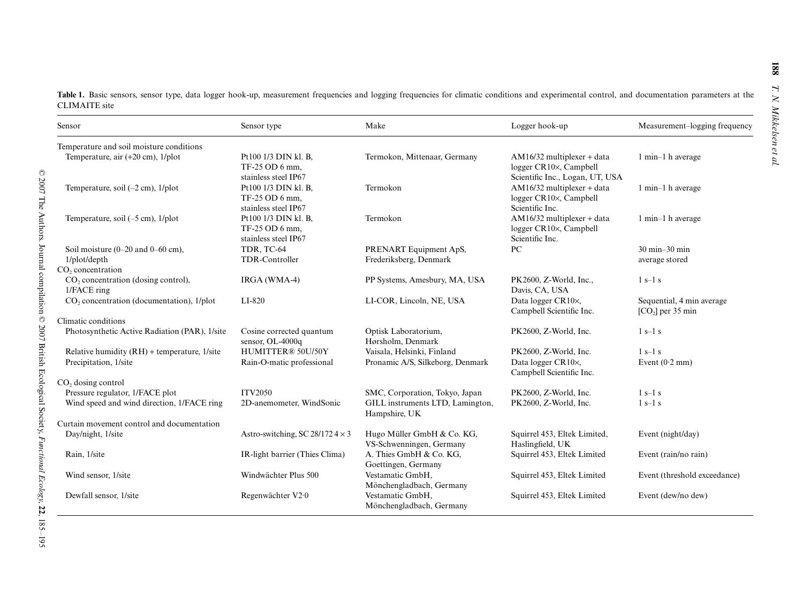**Table 1.** Basic sensors, sensor type, data logger hook-up, measurement frequencies and logging frequencies for climatic conditions and experimental control, and documentation parameters at the CLIMAITE site

| Sensor                                                                                | Sensor type                                                    | Make                                                                                | Logger hook-up                                                                            | Measurement-logging frequency                       |
|---------------------------------------------------------------------------------------|----------------------------------------------------------------|-------------------------------------------------------------------------------------|-------------------------------------------------------------------------------------------|-----------------------------------------------------|
| Temperature and soil moisture conditions                                              |                                                                |                                                                                     |                                                                                           |                                                     |
| Temperature, air $(+20 \text{ cm})$ , $1/\text{plot}$                                 | Pt100 1/3 DIN kl. B,<br>TF-25 OD 6 mm.<br>stainless steel IP67 | Termokon, Mittenaar, Germany                                                        | $AM16/32$ multiplexer + data<br>logger CR10×, Campbell<br>Scientific Inc., Logan, UT, USA | 1 min-1 h average                                   |
| Temperature, soil $(-2 \text{ cm})$ , $1/\text{plot}$                                 | Pt100 1/3 DIN kl. B,<br>TF-25 OD 6 mm.<br>stainless steel IP67 | Termokon                                                                            | AM16/32 multiplexer + data<br>logger CR10×, Campbell<br>Scientific Inc.                   | 1 min-1 h average                                   |
| Temperature, soil $(-5 \text{ cm})$ , $1/\text{plot}$                                 | Pt100 1/3 DIN kl. B,<br>TF-25 OD 6 mm,<br>stainless steel IP67 | Termokon                                                                            | AM16/32 multiplexer + data<br>logger CR10×, Campbell<br>Scientific Inc.                   | 1 min-1 h average                                   |
| Soil moisture $(0-20$ and $0-60$ cm),<br>1/plot/depth                                 | TDR, TC-64<br>TDR-Controller                                   | PRENART Equipment ApS,<br>Frederiksberg, Denmark                                    | PC                                                                                        | $30 \text{ min} - 30 \text{ min}$<br>average stored |
| CO <sub>2</sub> concentration<br>$CO2$ concentration (dosing control),<br>1/FACE ring | IRGA (WMA-4)                                                   | PP Systems, Amesbury, MA, USA                                                       | PK2600, Z-World, Inc.,<br>Davis, CA, USA                                                  | $1s-1s$                                             |
| CO <sub>2</sub> concentration (documentation), 1/plot                                 | LI-820                                                         | LI-COR, Lincoln, NE, USA                                                            | Data logger CR10×,<br>Campbell Scientific Inc.                                            | Sequential, 4 min average<br>$[CO2]$ per 35 min     |
| Climatic conditions                                                                   |                                                                |                                                                                     |                                                                                           |                                                     |
| Photosynthetic Active Radiation (PAR), 1/site                                         | Cosine corrected quantum<br>sensor, OL-4000q                   | Optisk Laboratorium,<br>Hørsholm, Denmark                                           | PK2600, Z-World, Inc.                                                                     | $1s-1s$                                             |
| Relative humidity $(RH)$ + temperature, 1/site<br>Precipitation, 1/site               | HUMITTER® 50U/50Y<br>Rain-O-matic professional                 | Vaisala, Helsinki, Finland<br>Pronamic A/S, Silkeborg, Denmark                      | PK2600, Z-World, Inc.<br>Data logger CR10×,<br>Campbell Scientific Inc.                   | $1s-1s$<br>Event $(0.2 \text{ mm})$                 |
| CO <sub>2</sub> dosing control                                                        |                                                                |                                                                                     |                                                                                           |                                                     |
| Pressure regulator, 1/FACE plot<br>Wind speed and wind direction, 1/FACE ring         | <b>ITV2050</b><br>2D-anemometer, WindSonic                     | SMC, Corporation, Tokyo, Japan<br>GILL instruments LTD, Lamington,<br>Hampshire, UK | PK2600, Z-World, Inc.<br>PK2600, Z-World, Inc.                                            | $1s-1s$<br>$1s-1s$                                  |
| Curtain movement control and documentation                                            |                                                                |                                                                                     |                                                                                           |                                                     |
| Day/night, 1/site                                                                     | Astro-switching, SC 28/172 $4 \times 3$                        | Hugo Müller GmbH & Co. KG,<br>VS-Schwenningen, Germany                              | Squirrel 453, Eltek Limited,<br>Haslingfield, UK                                          | Event (night/day)                                   |
| Rain, 1/site                                                                          | IR-light barrier (Thies Clima)                                 | A. Thies GmbH & Co. KG,<br>Goettingen, Germany                                      | Squirrel 453, Eltek Limited                                                               | Event (rain/no rain)                                |
| Wind sensor, 1/site                                                                   | Windwächter Plus 500                                           | Vestamatic GmbH,<br>Mönchengladbach, Germany                                        | Squirrel 453, Eltek Limited                                                               | Event (threshold exceedance)                        |
| Dewfall sensor, 1/site                                                                | Regenwächter V2·0                                              | Vestamatic GmbH,<br>Mönchengladbach, Germany                                        | Squirrel 453, Eltek Limited                                                               | Event (dew/no dew)                                  |

**188**

*T. N. Mikkelsen et al.*

T. N. Mikkelsen et al.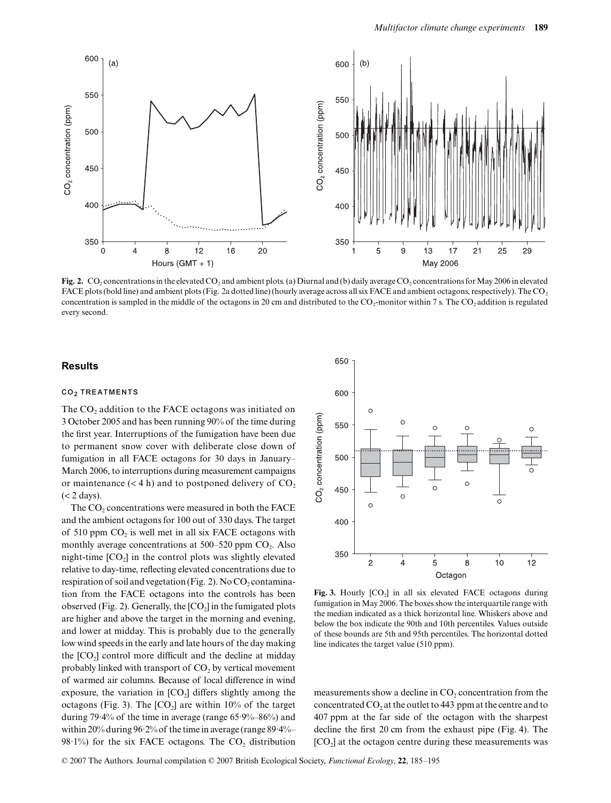

Fig. 2. CO<sub>2</sub> concentrations in the elevated CO<sub>2</sub> and ambient plots. (a) Diurnal and (b) daily average CO<sub>2</sub> concentrations for May 2006 in elevated FACE plots (bold line) and ambient plots (Fig. 2a dotted line) (hourly average across all six FACE and ambient octagons, respectively). The CO<sub>2</sub> concentration is sampled in the middle of the octagons in 20 cm and distributed to the CO<sub>2</sub>-monitor within 7 s. The CO<sub>2</sub> addition is regulated every second.

#### **Results**

#### **CO2 TREATMENTS**

The  $CO<sub>2</sub>$  addition to the FACE octagons was initiated on 3 October 2005 and has been running 90% of the time during the first year. Interruptions of the fumigation have been due to permanent snow cover with deliberate close down of fumigation in all FACE octagons for 30 days in January– March 2006, to interruptions during measurement campaigns or maintenance  $(< 4 \text{ h})$  and to postponed delivery of  $CO<sub>2</sub>$ (< 2 days).

The CO<sub>2</sub> concentrations were measured in both the FACE and the ambient octagons for 100 out of 330 days. The target of  $510$  ppm  $CO<sub>2</sub>$  is well met in all six FACE octagons with monthly average concentrations at  $500-520$  ppm  $CO<sub>2</sub>$ . Also night-time  $[CO<sub>2</sub>]$  in the control plots was slightly elevated relative to day-time, reflecting elevated concentrations due to respiration of soil and vegetation (Fig. 2). No  $CO<sub>2</sub>$  contamination from the FACE octagons into the controls has been observed (Fig. 2). Generally, the  $[CO<sub>2</sub>]$  in the fumigated plots are higher and above the target in the morning and evening, and lower at midday. This is probably due to the generally low wind speeds in the early and late hours of the day making the  $[CO<sub>2</sub>]$  control more difficult and the decline at midday probably linked with transport of  $CO<sub>2</sub>$  by vertical movement of warmed air columns. Because of local difference in wind exposure, the variation in  $[CO<sub>2</sub>]$  differs slightly among the octagons (Fig. 3). The  $[CO_2]$  are within 10% of the target during 79·4% of the time in average (range 65·9%–86%) and within 20% during 96·2% of the time in average (range 89·4%– 98 $\cdot$ 1%) for the six FACE octagons. The CO<sub>2</sub> distribution



Fig. 3. Hourly  $[CO_2]$  in all six elevated FACE octagons during fumigation in May 2006. The boxes show the interquartile range with the median indicated as a thick horizontal line. Whiskers above and below the box indicate the 90th and 10th percentiles. Values outside of these bounds are 5th and 95th percentiles. The horizontal dotted line indicates the target value (510 ppm).

measurements show a decline in  $CO<sub>2</sub>$  concentration from the concentrated  $CO<sub>2</sub>$  at the outlet to 443 ppm at the centre and to 407 ppm at the far side of the octagon with the sharpest decline the first 20 cm from the exhaust pipe (Fig. 4). The  $[CO<sub>2</sub>]$  at the octagon centre during these measurements was

© 2007 The Authors. Journal compilation © 2007 British Ecological Society, *Functional Ecology*, **22**, 185–195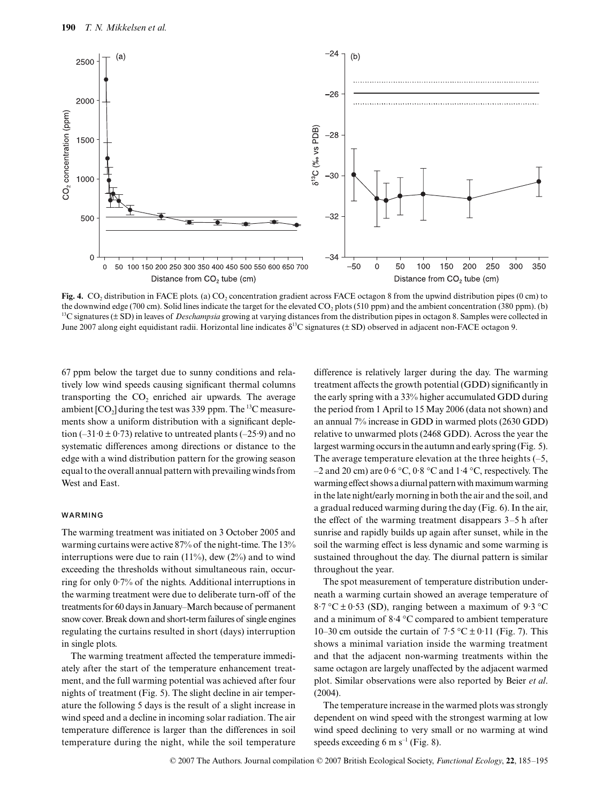

**Fig. 4.** CO<sub>2</sub> distribution in FACE plots. (a) CO<sub>2</sub> concentration gradient across FACE octagon 8 from the upwind distribution pipes (0 cm) to the downwind edge (700 cm). Solid lines indicate the target for the elevated  $CO<sub>2</sub>$  plots (510 ppm) and the ambient concentration (380 ppm). (b) <sup>13</sup>C signatures ( $\pm$  SD) in leaves of *Deschampsia* growing at varying distances from the distribution pipes in octagon 8. Samples were collected in June 2007 along eight equidistant radii. Horizontal line indicates  $\delta^{13}C$  signatures ( $\pm$  SD) observed in adjacent non-FACE octagon 9.

67 ppm below the target due to sunny conditions and relatively low wind speeds causing significant thermal columns transporting the  $CO<sub>2</sub>$  enriched air upwards. The average ambient  $[CO_2]$  during the test was 339 ppm. The <sup>13</sup>C measurements show a uniform distribution with a significant depletion (–31 $\cdot$ 0 ± 0 $\cdot$ 73) relative to untreated plants (–25 $\cdot$ 9) and no systematic differences among directions or distance to the edge with a wind distribution pattern for the growing season equal to the overall annual pattern with prevailing winds from West and East.

## **WARMING**

The warming treatment was initiated on 3 October 2005 and warming curtains were active 87% of the night-time. The 13% interruptions were due to rain  $(11\%)$ , dew  $(2\%)$  and to wind exceeding the thresholds without simultaneous rain, occurring for only 0·7% of the nights. Additional interruptions in the warming treatment were due to deliberate turn-off of the treatments for 60 days in January–March because of permanent snow cover. Break down and short-term failures of single engines regulating the curtains resulted in short (days) interruption in single plots.

The warming treatment affected the temperature immediately after the start of the temperature enhancement treatment, and the full warming potential was achieved after four nights of treatment (Fig. 5). The slight decline in air temperature the following 5 days is the result of a slight increase in wind speed and a decline in incoming solar radiation. The air temperature difference is larger than the differences in soil temperature during the night, while the soil temperature

difference is relatively larger during the day. The warming treatment affects the growth potential (GDD) significantly in the early spring with a 33% higher accumulated GDD during the period from 1 April to 15 May 2006 (data not shown) and an annual 7% increase in GDD in warmed plots (2630 GDD) relative to unwarmed plots (2468 GDD). Across the year the largest warming occurs in the autumn and early spring (Fig. 5). The average temperature elevation at the three heights  $(-5, 5)$ –2 and 20 cm) are  $0.6 \degree C$ ,  $0.8 \degree C$  and  $1.4 \degree C$ , respectively. The warming effect shows a diurnal pattern with maximum warming in the late night/early morning in both the air and the soil, and a gradual reduced warming during the day (Fig. 6). In the air, the effect of the warming treatment disappears 3–5 h after sunrise and rapidly builds up again after sunset, while in the soil the warming effect is less dynamic and some warming is sustained throughout the day. The diurnal pattern is similar throughout the year.

The spot measurement of temperature distribution underneath a warming curtain showed an average temperature of  $8.7 \text{ °C} \pm 0.53$  (SD), ranging between a maximum of 9.3 °C and a minimum of 8·4 °C compared to ambient temperature 10–30 cm outside the curtain of  $7.5 \degree C \pm 0.11$  (Fig. 7). This shows a minimal variation inside the warming treatment and that the adjacent non-warming treatments within the same octagon are largely unaffected by the adjacent warmed plot. Similar observations were also reported by Beier *et al*. (2004).

The temperature increase in the warmed plots was strongly dependent on wind speed with the strongest warming at low wind speed declining to very small or no warming at wind speeds exceeding 6 m  $s^{-1}$  (Fig. 8).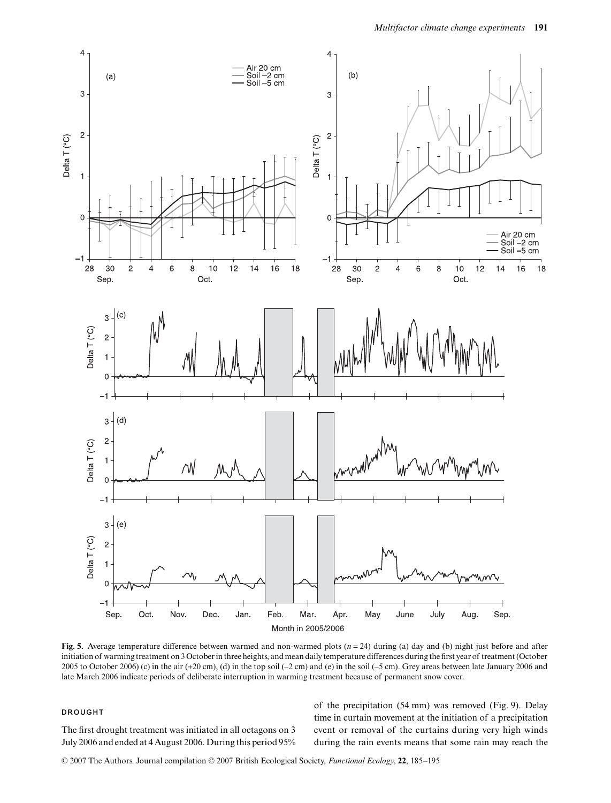

**Fig. 5.** Average temperature difference between warmed and non-warmed plots  $(n = 24)$  during (a) day and (b) night just before and after initiation of warming treatment on 3 October in three heights, and mean daily temperature differences during the first year of treatment (October 2005 to October 2006) (c) in the air (+20 cm), (d) in the top soil (-2 cm) and (e) in the soil (-5 cm). Grey areas between late January 2006 and late March 2006 indicate periods of deliberate interruption in warming treatment because of permanent snow cover.

## **DROUGHT**

The first drought treatment was initiated in all octagons on 3 July 2006 and ended at 4 August 2006. During this period 95% of the precipitation (54 mm) was removed (Fig. 9). Delay time in curtain movement at the initiation of a precipitation event or removal of the curtains during very high winds during the rain events means that some rain may reach the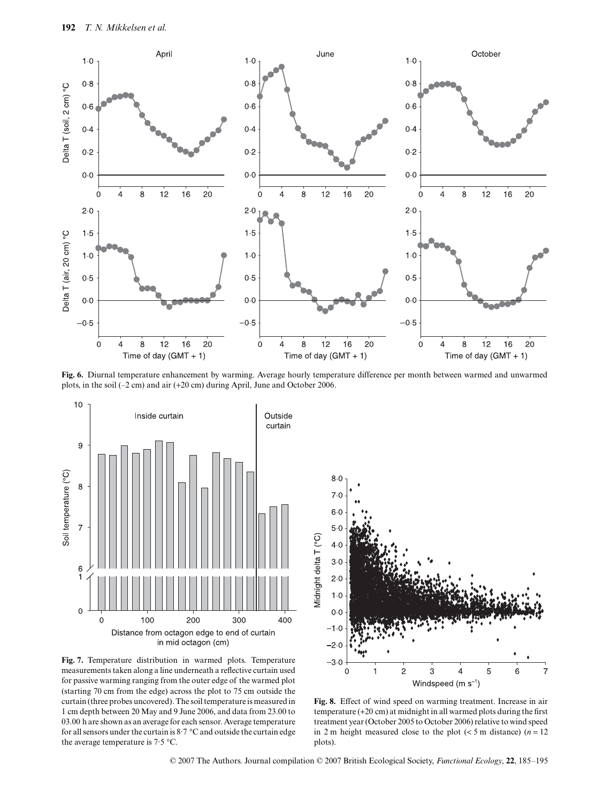

**Fig. 6.** Diurnal temperature enhancement by warming. Average hourly temperature difference per month between warmed and unwarmed plots, in the soil (–2 cm) and air (+20 cm) during April, June and October 2006.



**Fig. 7.** Temperature distribution in warmed plots. Temperature measurements taken along a line underneath a reflective curtain used for passive warming ranging from the outer edge of the warmed plot (starting 70 cm from the edge) across the plot to 75 cm outside the curtain (three probes uncovered). The soil temperature is measured in 1 cm depth between 20 May and 9 June 2006, and data from 23.00 to 03.00 h are shown as an average for each sensor. Average temperature for all sensors under the curtain is  $8.7 \degree C$  and outside the curtain edge the average temperature is 7·5 °C.



**Fig. 8.** Effect of wind speed on warming treatment. Increase in air temperature (+20 cm) at midnight in all warmed plots during the first treatment year (October 2005 to October 2006) relative to wind speed in 2 m height measured close to the plot  $(< 5$  m distance)  $(n = 12)$ plots).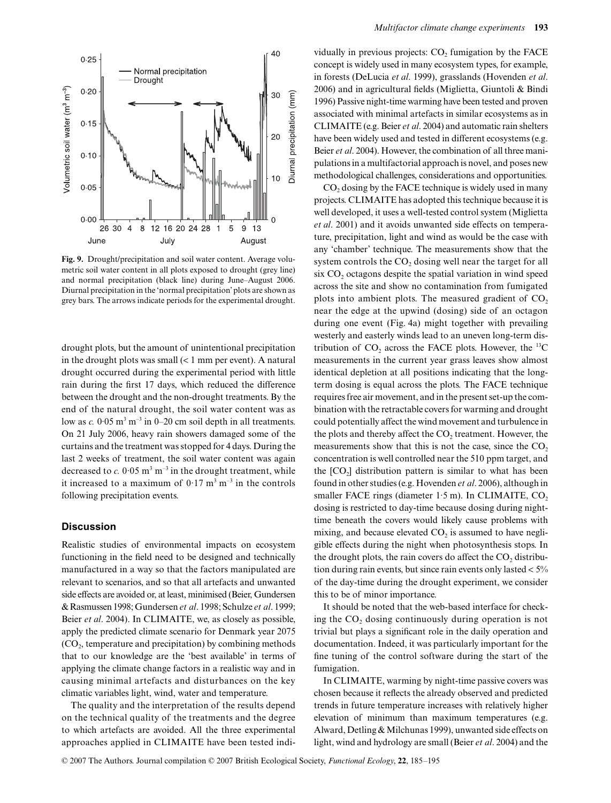

**Fig. 9.** Drought/precipitation and soil water content. Average volumetric soil water content in all plots exposed to drought (grey line) and normal precipitation (black line) during June–August 2006. Diurnal precipitation in the 'normal precipitation' plots are shown as grey bars. The arrows indicate periods for the experimental drought.

drought plots, but the amount of unintentional precipitation in the drought plots was small  $(< 1$  mm per event). A natural drought occurred during the experimental period with little rain during the first 17 days, which reduced the difference between the drought and the non-drought treatments. By the end of the natural drought, the soil water content was as low as  $c$ .  $0.05 \text{ m}^3 \text{ m}^{-3}$  in 0–20 cm soil depth in all treatments. On 21 July 2006, heavy rain showers damaged some of the curtains and the treatment was stopped for 4 days. During the last 2 weeks of treatment, the soil water content was again decreased to  $c. 0.05 \text{ m}^3 \text{ m}^{-3}$  in the drought treatment, while it increased to a maximum of  $0.17 \text{ m}^3 \text{ m}^{-3}$  in the controls following precipitation events.

#### **Discussion**

Realistic studies of environmental impacts on ecosystem functioning in the field need to be designed and technically manufactured in a way so that the factors manipulated are relevant to scenarios, and so that all artefacts and unwanted side effects are avoided or, at least, minimised (Beier, Gundersen & Rasmussen 1998; Gundersen *et al*. 1998; Schulze *et al*. 1999; Beier *et al*. 2004). In CLIMAITE, we, as closely as possible, apply the predicted climate scenario for Denmark year 2075  $(CO<sub>2</sub>$ , temperature and precipitation) by combining methods that to our knowledge are the 'best available' in terms of applying the climate change factors in a realistic way and in causing minimal artefacts and disturbances on the key climatic variables light, wind, water and temperature.

The quality and the interpretation of the results depend on the technical quality of the treatments and the degree to which artefacts are avoided. All the three experimental approaches applied in CLIMAITE have been tested individually in previous projects:  $CO<sub>2</sub>$  fumigation by the FACE concept is widely used in many ecosystem types, for example, in forests (DeLucia *et al*. 1999), grasslands (Hovenden *et al*. 2006) and in agricultural fields (Miglietta, Giuntoli & Bindi 1996) Passive night-time warming have been tested and proven associated with minimal artefacts in similar ecosystems as in CLIMAITE (e.g. Beier *et al*. 2004) and automatic rain shelters have been widely used and tested in different ecosystems (e.g. Beier *et al*. 2004). However, the combination of all three manipulations in a multifactorial approach is novel, and poses new methodological challenges, considerations and opportunities.

 $CO<sub>2</sub>$  dosing by the FACE technique is widely used in many projects. CLIMAITE has adopted this technique because it is well developed, it uses a well-tested control system (Miglietta *et al*. 2001) and it avoids unwanted side effects on temperature, precipitation, light and wind as would be the case with any 'chamber' technique. The measurements show that the system controls the  $CO<sub>2</sub>$  dosing well near the target for all six  $CO<sub>2</sub>$  octagons despite the spatial variation in wind speed across the site and show no contamination from fumigated plots into ambient plots. The measured gradient of  $CO<sub>2</sub>$ near the edge at the upwind (dosing) side of an octagon during one event (Fig. 4a) might together with prevailing westerly and easterly winds lead to an uneven long-term distribution of  $CO_2$  across the FACE plots. However, the <sup>13</sup>C measurements in the current year grass leaves show almost identical depletion at all positions indicating that the longterm dosing is equal across the plots. The FACE technique requires free air movement, and in the present set-up the combination with the retractable covers for warming and drought could potentially affect the wind movement and turbulence in the plots and thereby affect the  $CO<sub>2</sub>$  treatment. However, the measurements show that this is not the case, since the  $CO<sub>2</sub>$ concentration is well controlled near the 510 ppm target, and the  $[CO<sub>2</sub>]$  distribution pattern is similar to what has been found in other studies (e.g. Hovenden *et al*. 2006), although in smaller FACE rings (diameter  $1.5$  m). In CLIMAITE,  $CO<sub>2</sub>$ dosing is restricted to day-time because dosing during nighttime beneath the covers would likely cause problems with mixing, and because elevated  $CO<sub>2</sub>$  is assumed to have negligible effects during the night when photosynthesis stops. In the drought plots, the rain covers do affect the  $CO<sub>2</sub>$  distribution during rain events, but since rain events only lasted  $< 5\%$ of the day-time during the drought experiment, we consider this to be of minor importance.

It should be noted that the web-based interface for checking the  $CO<sub>2</sub>$  dosing continuously during operation is not trivial but plays a significant role in the daily operation and documentation. Indeed, it was particularly important for the fine tuning of the control software during the start of the fumigation.

In CLIMAITE, warming by night-time passive covers was chosen because it reflects the already observed and predicted trends in future temperature increases with relatively higher elevation of minimum than maximum temperatures (e.g. Alward, Detling & Milchunas 1999), unwanted side effects on light, wind and hydrology are small (Beier *et al*. 2004) and the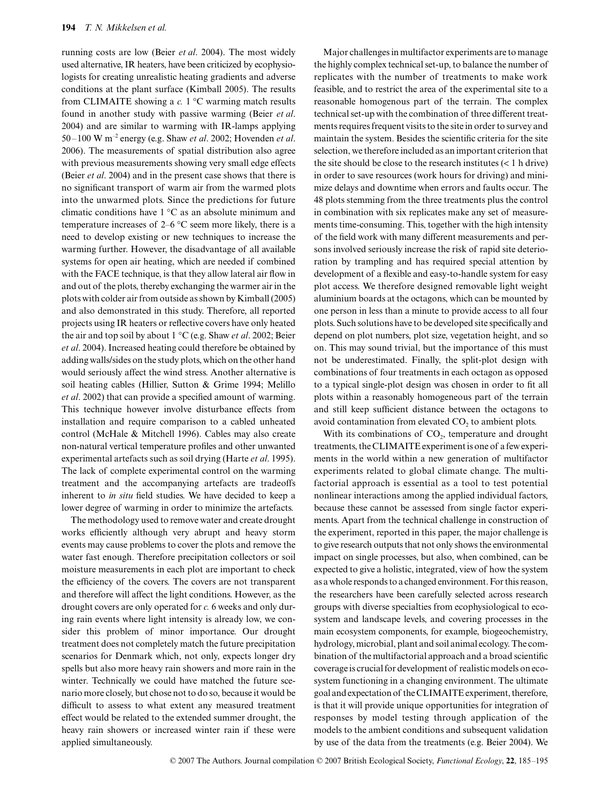running costs are low (Beier *et al*. 2004). The most widely used alternative, IR heaters, have been criticized by ecophysiologists for creating unrealistic heating gradients and adverse conditions at the plant surface (Kimball 2005). The results from CLIMAITE showing a *c.* 1 °C warming match results found in another study with passive warming (Beier *et al*. 2004) and are similar to warming with IR-lamps applying 50–100 W m–2 energy (e.g. Shaw *et al*. 2002; Hovenden *et al*. 2006). The measurements of spatial distribution also agree with previous measurements showing very small edge effects (Beier *et al*. 2004) and in the present case shows that there is no significant transport of warm air from the warmed plots into the unwarmed plots. Since the predictions for future climatic conditions have 1 °C as an absolute minimum and temperature increases of 2–6 °C seem more likely, there is a need to develop existing or new techniques to increase the warming further. However, the disadvantage of all available systems for open air heating, which are needed if combined with the FACE technique, is that they allow lateral air flow in and out of the plots, thereby exchanging the warmer air in the plots with colder air from outside as shown by Kimball (2005) and also demonstrated in this study. Therefore, all reported projects using IR heaters or reflective covers have only heated the air and top soil by about 1 °C (e.g. Shaw *et al*. 2002; Beier *et al*. 2004). Increased heating could therefore be obtained by adding walls/sides on the study plots, which on the other hand would seriously affect the wind stress. Another alternative is soil heating cables (Hillier, Sutton & Grime 1994; Melillo *et al*. 2002) that can provide a specified amount of warming. This technique however involve disturbance effects from installation and require comparison to a cabled unheated control (McHale & Mitchell 1996). Cables may also create non-natural vertical temperature profiles and other unwanted experimental artefacts such as soil drying (Harte *et al*. 1995). The lack of complete experimental control on the warming treatment and the accompanying artefacts are tradeoffs inherent to *in situ* field studies. We have decided to keep a lower degree of warming in order to minimize the artefacts.

The methodology used to remove water and create drought works efficiently although very abrupt and heavy storm events may cause problems to cover the plots and remove the water fast enough. Therefore precipitation collectors or soil moisture measurements in each plot are important to check the efficiency of the covers. The covers are not transparent and therefore will affect the light conditions. However, as the drought covers are only operated for *c.* 6 weeks and only during rain events where light intensity is already low, we consider this problem of minor importance. Our drought treatment does not completely match the future precipitation scenarios for Denmark which, not only, expects longer dry spells but also more heavy rain showers and more rain in the winter. Technically we could have matched the future scenario more closely, but chose not to do so, because it would be difficult to assess to what extent any measured treatment effect would be related to the extended summer drought, the heavy rain showers or increased winter rain if these were applied simultaneously.

Major challenges in multifactor experiments are to manage the highly complex technical set-up, to balance the number of replicates with the number of treatments to make work feasible, and to restrict the area of the experimental site to a reasonable homogenous part of the terrain. The complex technical set-up with the combination of three different treatments requires frequent visits to the site in order to survey and maintain the system. Besides the scientific criteria for the site selection, we therefore included as an important criterion that the site should be close to the research institutes  $(< 1$  h drive) in order to save resources (work hours for driving) and minimize delays and downtime when errors and faults occur. The 48 plots stemming from the three treatments plus the control in combination with six replicates make any set of measurements time-consuming. This, together with the high intensity of the field work with many different measurements and persons involved seriously increase the risk of rapid site deterioration by trampling and has required special attention by development of a flexible and easy-to-handle system for easy plot access. We therefore designed removable light weight aluminium boards at the octagons, which can be mounted by one person in less than a minute to provide access to all four plots. Such solutions have to be developed site specifically and depend on plot numbers, plot size, vegetation height, and so on. This may sound trivial, but the importance of this must not be underestimated. Finally, the split-plot design with combinations of four treatments in each octagon as opposed to a typical single-plot design was chosen in order to fit all plots within a reasonably homogeneous part of the terrain and still keep sufficient distance between the octagons to avoid contamination from elevated  $CO<sub>2</sub>$  to ambient plots.

With its combinations of  $CO<sub>2</sub>$ , temperature and drought treatments, the CLIMAITE experiment is one of a few experiments in the world within a new generation of multifactor experiments related to global climate change. The multifactorial approach is essential as a tool to test potential nonlinear interactions among the applied individual factors, because these cannot be assessed from single factor experiments. Apart from the technical challenge in construction of the experiment, reported in this paper, the major challenge is to give research outputs that not only shows the environmental impact on single processes, but also, when combined, can be expected to give a holistic, integrated, view of how the system as a whole responds to a changed environment. For this reason, the researchers have been carefully selected across research groups with diverse specialties from ecophysiological to ecosystem and landscape levels, and covering processes in the main ecosystem components, for example, biogeochemistry, hydrology, microbial, plant and soil animal ecology. The combination of the multifactorial approach and a broad scientific coverage is crucial for development of realistic models on ecosystem functioning in a changing environment. The ultimate goal and expectation of the CLIMAITE experiment, therefore, is that it will provide unique opportunities for integration of responses by model testing through application of the models to the ambient conditions and subsequent validation by use of the data from the treatments (e.g. Beier 2004). We